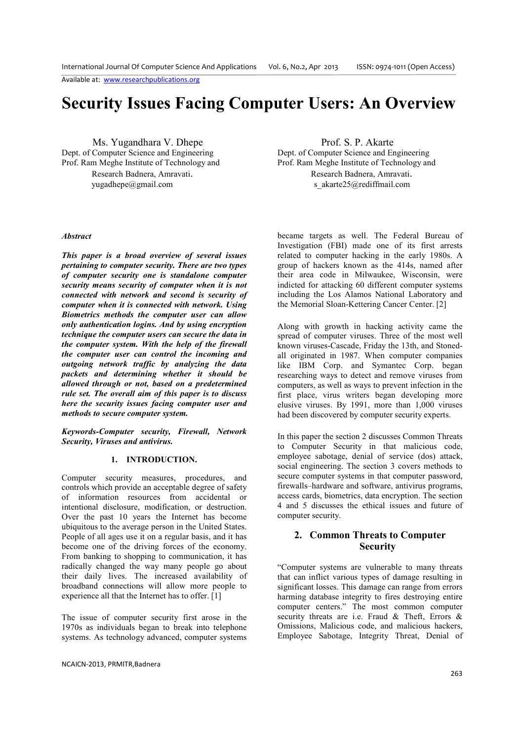Available at: www.researchpublications.org

# **Security Issues Facing Computer Users: An Overview**

Dept. of Computer Science and Engineering Prof. Ram Meghe Institute of Technology and Prof. Ram Meghe Institute of Technology and

yugadhepe@gmail.com sakarte25@rediffmail.com

# Ms. Yugandhara V. Dhepe<br>
Computer Science and Engineering<br>
Dept. of Computer Science and Engineering<br>
Prof. S. P. Akarte Research Badnera, Amravati. Research Badnera, Amravati.

#### *Abstract*

*This paper is a broad overview of several issues pertaining to computer security. There are two types of computer security one is standalone computer security means security of computer when it is not connected with network and second is security of computer when it is connected with network. Using Biometrics methods the computer user can allow only authentication logins. And by using encryption technique the computer users can secure the data in the computer system. With the help of the firewall the computer user can control the incoming and outgoing network traffic by analyzing the data packets and determining whether it should be allowed through or not, based on a predetermined rule set. The overall aim of this paper is to discuss here the security issues facing computer user and methods to secure computer system.* 

*Keywords-Computer security, Firewall, Network Security, Viruses and antivirus.* 

#### **1. INTRODUCTION.**

Computer security measures, procedures, and controls which provide an acceptable degree of safety of information resources from accidental or intentional disclosure, modification, or destruction. Over the past 10 years the Internet has become ubiquitous to the average person in the United States. People of all ages use it on a regular basis, and it has become one of the driving forces of the economy. From banking to shopping to communication, it has radically changed the way many people go about their daily lives. The increased availability of broadband connections will allow more people to experience all that the Internet has to offer. [1]

The issue of computer security first arose in the 1970s as individuals began to break into telephone systems. As technology advanced, computer systems

NCAICN-2013, PRMITR,Badnera

became targets as well. The Federal Bureau of Investigation (FBI) made one of its first arrests related to computer hacking in the early 1980s. A group of hackers known as the 414s, named after their area code in Milwaukee, Wisconsin, were indicted for attacking 60 different computer systems including the Los Alamos National Laboratory and the Memorial Sloan-Kettering Cancer Center. [2]

Along with growth in hacking activity came the spread of computer viruses. Three of the most well known viruses-Cascade, Friday the 13th, and Stonedall originated in 1987. When computer companies like IBM Corp. and Symantec Corp. began researching ways to detect and remove viruses from computers, as well as ways to prevent infection in the first place, virus writers began developing more elusive viruses. By 1991, more than 1,000 viruses had been discovered by computer security experts.

In this paper the section 2 discusses Common Threats to Computer Security in that malicious code, employee sabotage, denial of service (dos) attack, social engineering. The section 3 covers methods to secure computer systems in that computer password, firewalls–hardware and software, antivirus programs, access cards, biometrics, data encryption. The section 4 and 5 discusses the ethical issues and future of computer security.

# **2. Common Threats to Computer Security**

"Computer systems are vulnerable to many threats that can inflict various types of damage resulting in significant losses. This damage can range from errors harming database integrity to fires destroying entire computer centers." The most common computer security threats are i.e. Fraud & Theft, Errors & Omissions, Malicious code, and malicious hackers, Employee Sabotage, Integrity Threat, Denial of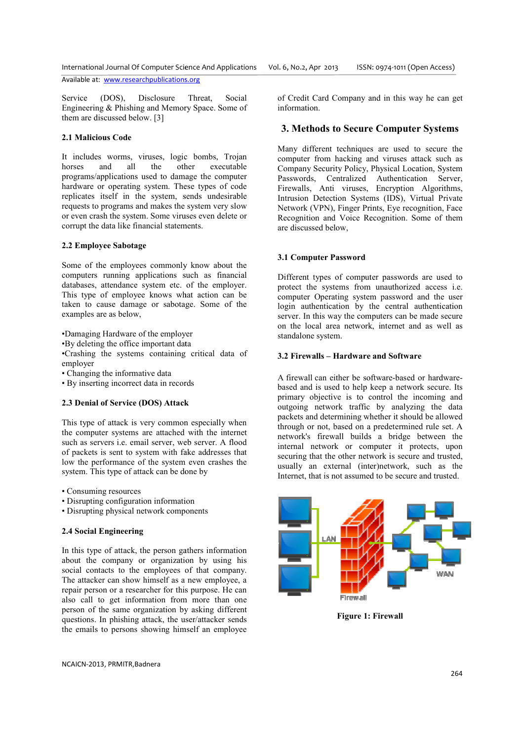International Journal Of Computer Science And Applications Vol. 6, No.2, Apr 2013

Available at: www.researchpublications.org

Service (DOS), Disclosure Threat, Social Engineering & Phishing and Memory Space. Some of them are discussed below. [3]

# **2.1 Malicious Code**

It includes worms, viruses, logic bombs, Trojan horses and all the other executable programs/applications used to damage the computer hardware or operating system. These types of code replicates itself in the system, sends undesirable requests to programs and makes the system very slow or even crash the system. Some viruses even delete or corrupt the data like financial statements. and makes the system very slow<br>tem. Some viruses even delete or<br>inancial statements.<br>age<br>ees commonly know about the<br>applications such as financial

# **2.2 Employee Sabotage**

Some of the employees commonly know about the computers running applications such as financial databases, attendance system etc. of the employer. This type of employee knows what action can be databases, attendance system etc. of the employer.<br>This type of employee knows what action can be<br>taken to cause damage or sabotage. Some of the examples are as below,

•Damaging Hardware of the employer

•By deleting the office important data

•Damaging Hardware of the employer<br>•By deleting the office important data<br>•Crashing the systems containing critical data of employer

• Changing the informative data

• By inserting incorrect data in records

# **2.3 Denial of Service (DOS) Attack (DOS)**

This type of attack is very common especially when the computer systems are attached with the internet such as servers i.e. email server, web server. A flood of packets is sent to system with fake addresses that low the performance of the system even crashes the system. This type of attack can be done by

- Consuming resources
- Disrupting configuration information
- Disrupting physical network components

# **2.4 Social Engineering**

In this type of attack, the person gathers information about the company or organization by using his social contacts to the employees of that company. The attacker can show himself as a new employee, a repair person or a researcher for this purpose. He can also call to get information from more than one person of the same organization by asking different questions. In phishing attack, the user/attacker sends the emails to persons showing himself an employee his type of attack is very common especially when<br>e computer systems are attached with the internet<br>conder as servers i.e. email server, web server. A flood<br>f packets is sent to system with fake addresses that<br>we the perfo of Credit Card Company and in this way he can get information.

# **3. Methods to Secure Computer Systems**

Many different techniques are used to secure the computer from hacking and viruses attack such as Company Security Policy, Physical Location, System Passwords, Centralized Authentication Server, Firewalls, Anti viruses, Encryption Algorithms, Intrusion Detection Systems (IDS), Virtual Private Network (VPN), Finger Prints, Eye recognition, Face Recognition and Voice Recognition. Some of them are discussed below,

#### **3.1 Computer Password**

Different types of computer passwords are used to Recognition and Voice Recognition. Some of them<br>are discussed below,<br>**3.1 Computer Password**<br>Different types of computer passwords are used to<br>protect the systems from unauthorized access i.e. computer Operating system password and the user login authentication by the central authentication server. In this way the computers can be made secure on the local area network, internet and as well as standalone system.

#### **3.2 Firewalls – Hardware and Software**

A firewall can either be software-based or hardwarebased and is used to help keep a network secure. Its primary objective is to control the incoming and outgoing network traffic by analyzing the data packets and determining whether it should be allowed through or not, based on a predetermined rule set. A primary objective is to control the incoming and outgoing network traffic by analyzing the data packets and determining whether it should be allowed through or not, based on a predetermined rule set. A network's firewall b internal network or computer it protects, upon securing that the other network is secure and trusted, usually an external (inter)network, such as the Internet, that is not assumed to be secure and trusted.



**Figure 1: Firewall**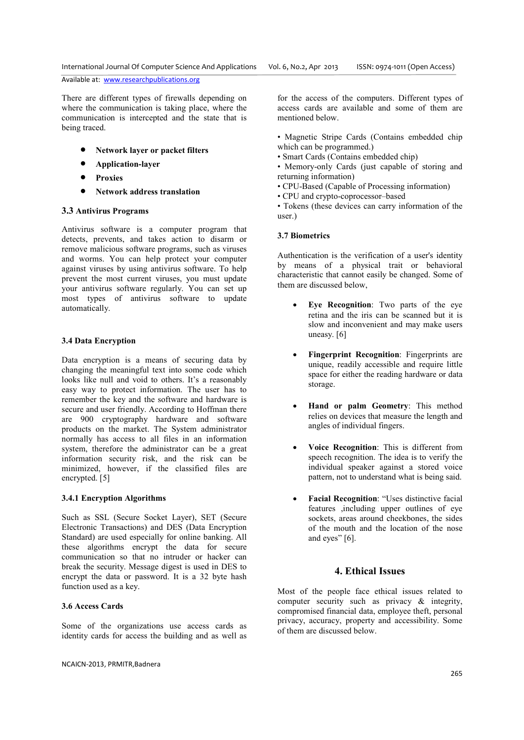Available at: www.researchpublications.org

There are different types of firewalls depending on where the communication is taking place, where the communication is intercepted and the state that is being traced.

- **Network layer or packet filters**
- **Application-layer**
- **Proxies**
- **Network address translation**

#### **3.3 Antivirus Programs**

Antivirus software is a computer program that detects, prevents, and takes action to disarm or remove malicious software programs, such as viruses and worms. You can help protect your computer against viruses by using antivirus software. To help prevent the most current viruses, you must update your antivirus software regularly. You can set up most types of antivirus software to update automatically.

#### **3.4 Data Encryption**

Data encryption is a means of securing data by changing the meaningful text into some code which looks like null and void to others. It's a reasonably easy way to protect information. The user has to remember the key and the software and hardware is secure and user friendly. According to Hoffman there are 900 cryptography hardware and software products on the market. The System administrator normally has access to all files in an information system, therefore the administrator can be a great information security risk, and the risk can be minimized, however, if the classified files are encrypted. [5]

#### **3.4.1 Encryption Algorithms**

Such as SSL (Secure Socket Layer), SET (Secure Electronic Transactions) and DES (Data Encryption Standard) are used especially for online banking. All these algorithms encrypt the data for secure communication so that no intruder or hacker can break the security. Message digest is used in DES to encrypt the data or password. It is a 32 byte hash function used as a key.

#### **3.6 Access Cards**

Some of the organizations use access cards as identity cards for access the building and as well as

NCAICN-2013, PRMITR,Badnera

for the access of the computers. Different types of access cards are available and some of them are mentioned below.

- Magnetic Stripe Cards (Contains embedded chip which can be programmed.)
- Smart Cards (Contains embedded chip)
- Memory-only Cards (just capable of storing and returning information)
- CPU-Based (Capable of Processing information)
- CPU and crypto-coprocessor–based

• Tokens (these devices can carry information of the user.)

#### **3.7 Biometrics**

Authentication is the verification of a user's identity by means of a physical trait or behavioral characteristic that cannot easily be changed. Some of them are discussed below,

- **Eye Recognition**: Two parts of the eye retina and the iris can be scanned but it is slow and inconvenient and may make users uneasy. [6]
- **Fingerprint Recognition**: Fingerprints are unique, readily accessible and require little space for either the reading hardware or data storage.
- **Hand or palm Geometry**: This method relies on devices that measure the length and angles of individual fingers.
- **Voice Recognition**: This is different from speech recognition. The idea is to verify the individual speaker against a stored voice pattern, not to understand what is being said.
- **Facial Recognition**: "Uses distinctive facial features ,including upper outlines of eye sockets, areas around cheekbones, the sides of the mouth and the location of the nose and eyes" [6].

### **4. Ethical Issues**

Most of the people face ethical issues related to computer security such as privacy & integrity, compromised financial data, employee theft, personal privacy, accuracy, property and accessibility. Some of them are discussed below.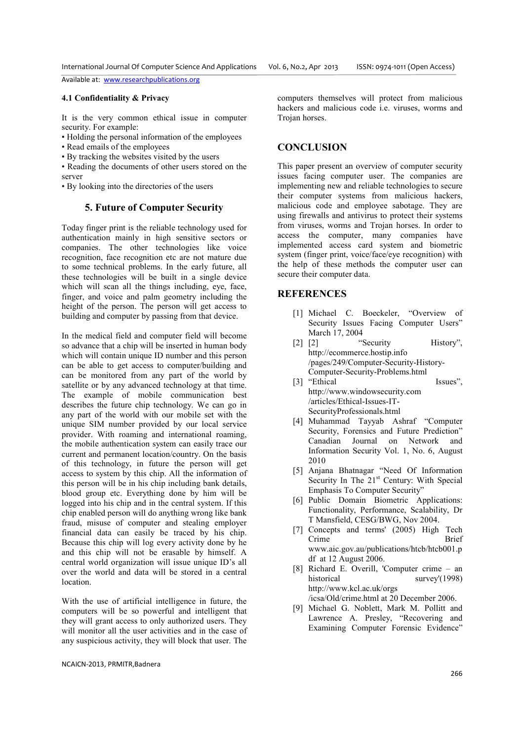Available at: www.researchpublications.org

#### **4.1 Confidentiality & Privacy**

It is the very common ethical issue in computer security. For example:

- Holding the personal information of the employees
- Read emails of the employees
- By tracking the websites visited by the users

• Reading the documents of other users stored on the server

• By looking into the directories of the users

# **5. Future of Computer Security**

Today finger print is the reliable technology used for authentication mainly in high sensitive sectors or companies. The other technologies like voice recognition, face recognition etc are not mature due to some technical problems. In the early future, all these technologies will be built in a single device which will scan all the things including, eye, face, finger, and voice and palm geometry including the height of the person. The person will get access to building and computer by passing from that device.

In the medical field and computer field will become so advance that a chip will be inserted in human body which will contain unique ID number and this person can be able to get access to computer/building and can be monitored from any part of the world by satellite or by any advanced technology at that time. The example of mobile communication best describes the future chip technology. We can go in any part of the world with our mobile set with the unique SIM number provided by our local service provider. With roaming and international roaming, the mobile authentication system can easily trace our current and permanent location/country. On the basis of this technology, in future the person will get access to system by this chip. All the information of this person will be in his chip including bank details, blood group etc. Everything done by him will be logged into his chip and in the central system. If this chip enabled person will do anything wrong like bank fraud, misuse of computer and stealing employer financial data can easily be traced by his chip. Because this chip will log every activity done by he and this chip will not be erasable by himself. A central world organization will issue unique ID's all over the world and data will be stored in a central location.

With the use of artificial intelligence in future, the computers will be so powerful and intelligent that they will grant access to only authorized users. They will monitor all the user activities and in the case of any suspicious activity, they will block that user. The

NCAICN-2013, PRMITR,Badnera

computers themselves will protect from malicious hackers and malicious code i.e. viruses, worms and Trojan horses.

## **CONCLUSION**

This paper present an overview of computer security issues facing computer user. The companies are implementing new and reliable technologies to secure their computer systems from malicious hackers, malicious code and employee sabotage. They are using firewalls and antivirus to protect their systems from viruses, worms and Trojan horses. In order to access the computer, many companies have implemented access card system and biometric system (finger print, voice/face/eye recognition) with the help of these methods the computer user can secure their computer data.

### **REFERENCES**

- [1] Michael C. Boeckeler, "Overview of Security Issues Facing Computer Users" March 17, 2004
- [2] [2] "Security History", http://ecommerce.hostip.info /pages/249/Computer-Security-History-Computer-Security-Problems.html
- [3] "Ethical Issues", http://www.windowsecurity.com /articles/Ethical-Issues-IT-SecurityProfessionals.html
- [4] Muhammad Tayyab Ashraf "Computer Security, Forensics and Future Prediction" Canadian Journal on Network and Information Security Vol. 1, No. 6, August 2010
- [5] Anjana Bhatnagar "Need Of Information Security In The  $21<sup>st</sup>$  Century: With Special Emphasis To Computer Security"
- [6] Public Domain Biometric Applications: Functionality, Performance, Scalability, Dr T Mansfield, CESG/BWG, Nov 2004.
- [7] Concepts and terms' (2005) High Tech Crime Brief www.aic.gov.au/publications/htcb/htcb001.p df at 12 August 2006.
- [8] Richard E. Overill, 'Computer crime an historical survey'(1998) http://www.kcl.ac.uk/orgs /icsa/Old/crime.html at 20 December 2006.
- [9] Michael G. Noblett, Mark M. Pollitt and Lawrence A. Presley, "Recovering and Examining Computer Forensic Evidence"